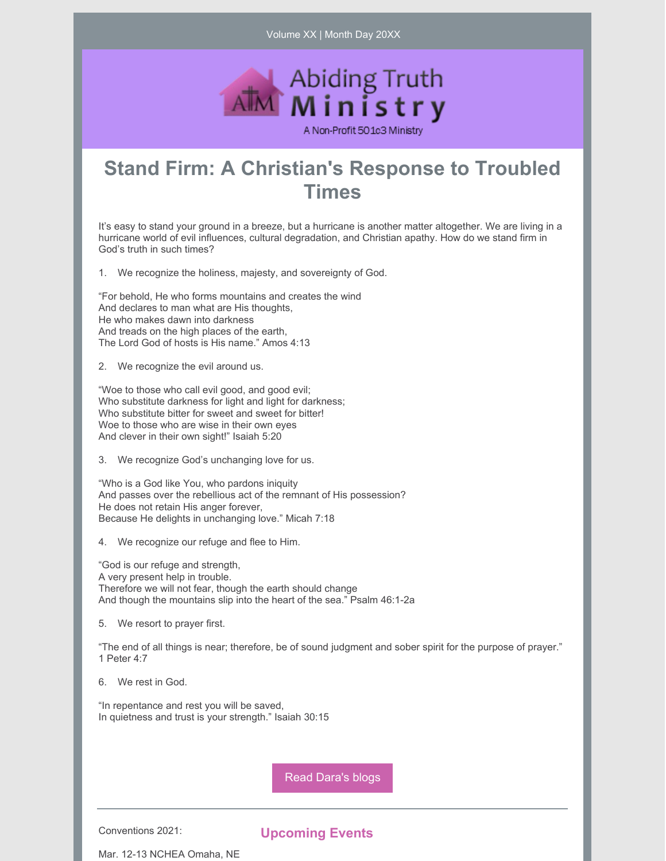Volume XX | Month Day 20XX



## **Stand Firm: A Christian's Response to Troubled Times**

It's easy to stand your ground in a breeze, but a hurricane is another matter altogether. We are living in a hurricane world of evil influences, cultural degradation, and Christian apathy. How do we stand firm in God's truth in such times?

1. We recognize the holiness, majesty, and sovereignty of God.

"For behold, He who forms mountains and creates the wind And declares to man what are His thoughts, He who makes dawn into darkness And treads on the high places of the earth, The Lord God of hosts is His name." Amos 4:13

2. We recognize the evil around us.

"Woe to those who call evil good, and good evil; Who substitute darkness for light and light for darkness; Who substitute bitter for sweet and sweet for bitter! Woe to those who are wise in their own eyes And clever in their own sight!" Isaiah 5:20

3. We recognize God's unchanging love for us.

"Who is a God like You, who pardons iniquity And passes over the rebellious act of the remnant of His possession? He does not retain His anger forever, Because He delights in unchanging love." Micah 7:18

4. We recognize our refuge and flee to Him.

"God is our refuge and strength, A very present help in trouble. Therefore we will not fear, though the earth should change And though the mountains slip into the heart of the sea." Psalm 46:1-2a

5. We resort to prayer first.

"The end of all things is near; therefore, be of sound judgment and sober spirit for the purpose of prayer." 1 Peter 4:7

6. We rest in God.

"In repentance and rest you will be saved, In quietness and trust is your strength." Isaiah 30:15

Read [Dara's](https://www.abidingtruthministry.com/blog/) blogs

Conventions 2021:

**Upcoming Events**

Mar. 12-13 NCHEA Omaha, NE